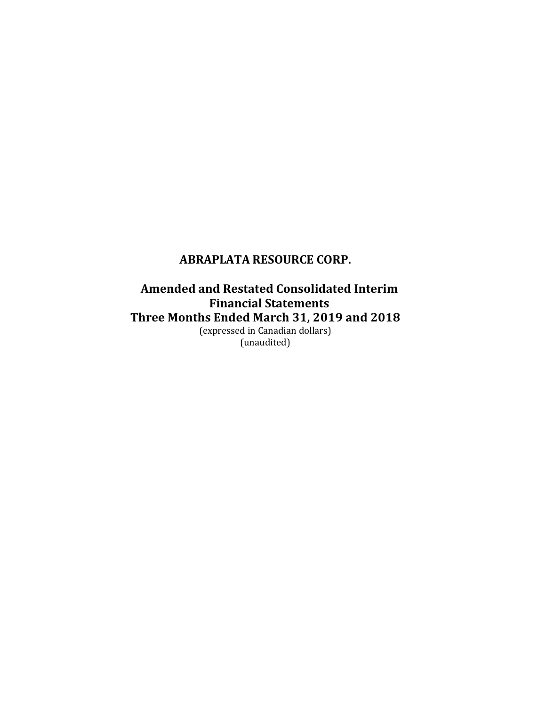**Amended and Restated Consolidated Interim Financial Statements Three Months Ended March 31, 2019 and 2018** (expressed in Canadian dollars)

(unaudited)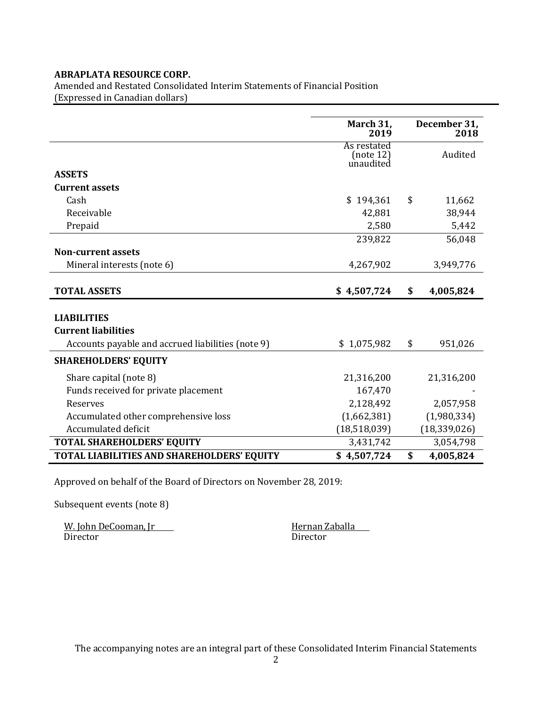Amended and Restated Consolidated Interim Statements of Financial Position (Expressed in Canadian dollars)

|                                                   | March 31,<br>2019                     | December 31,<br>2018 |
|---------------------------------------------------|---------------------------------------|----------------------|
|                                                   | As restated<br>(note 12)<br>unaudited | Audited              |
| <b>ASSETS</b>                                     |                                       |                      |
| <b>Current assets</b>                             |                                       |                      |
| Cash                                              | \$194,361                             | \$<br>11,662         |
| Receivable                                        | 42,881                                | 38,944               |
| Prepaid                                           | 2,580                                 | 5,442                |
|                                                   | 239,822                               | 56,048               |
| <b>Non-current assets</b>                         |                                       |                      |
| Mineral interests (note 6)                        | 4,267,902                             | 3,949,776            |
|                                                   |                                       |                      |
| <b>TOTAL ASSETS</b>                               | \$4,507,724                           | \$<br>4,005,824      |
|                                                   |                                       |                      |
| <b>LIABILITIES</b>                                |                                       |                      |
| <b>Current liabilities</b>                        |                                       |                      |
| Accounts payable and accrued liabilities (note 9) | \$1,075,982                           | \$<br>951,026        |
| <b>SHAREHOLDERS' EQUITY</b>                       |                                       |                      |
| Share capital (note 8)                            | 21,316,200                            | 21,316,200           |
| Funds received for private placement              | 167,470                               |                      |
| Reserves                                          | 2,128,492                             | 2,057,958            |
| Accumulated other comprehensive loss              | (1,662,381)                           | (1,980,334)          |
| Accumulated deficit                               | (18,518,039)                          | (18, 339, 026)       |
| <b>TOTAL SHAREHOLDERS' EQUITY</b>                 | 3,431,742                             | 3,054,798            |
| TOTAL LIABILITIES AND SHAREHOLDERS' EQUITY        | \$4,507,724                           | \$<br>4,005,824      |

Approved on behalf of the Board of Directors on November 28, 2019:

Subsequent events (note 8)

W. John DeCooman, Jr<br>Director Birector Director Director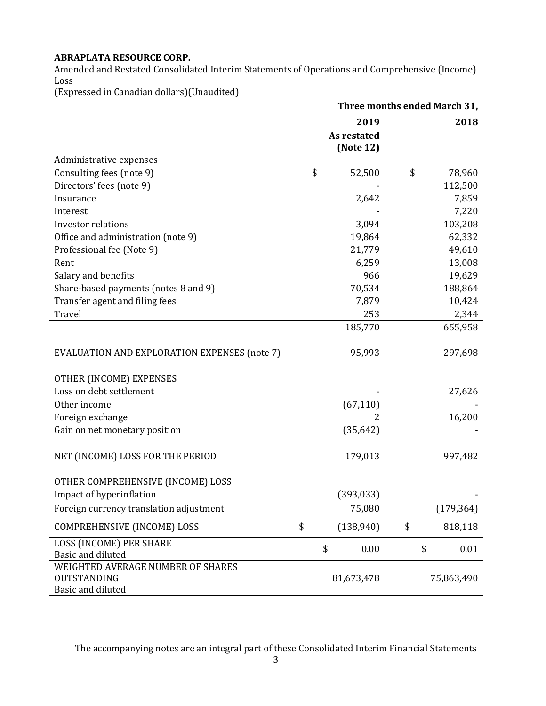Amended and Restated Consolidated Interim Statements of Operations and Comprehensive (Income) Loss

(Expressed in Canadian dollars)(Unaudited)

|                                                  | Three months ended March 31, |                                  |    |            |  |
|--------------------------------------------------|------------------------------|----------------------------------|----|------------|--|
|                                                  |                              | 2019<br>As restated<br>(Note 12) |    | 2018       |  |
| Administrative expenses                          |                              |                                  |    |            |  |
| Consulting fees (note 9)                         | \$                           | 52,500                           | \$ | 78,960     |  |
| Directors' fees (note 9)                         |                              |                                  |    | 112,500    |  |
| Insurance                                        |                              | 2,642                            |    | 7,859      |  |
| Interest                                         |                              |                                  |    | 7,220      |  |
| <b>Investor relations</b>                        |                              | 3,094                            |    | 103,208    |  |
| Office and administration (note 9)               |                              | 19,864                           |    | 62,332     |  |
| Professional fee (Note 9)                        |                              | 21,779                           |    | 49,610     |  |
| Rent                                             |                              | 6,259                            |    | 13,008     |  |
| Salary and benefits                              |                              | 966                              |    | 19,629     |  |
| Share-based payments (notes 8 and 9)             |                              | 70,534                           |    | 188,864    |  |
| Transfer agent and filing fees                   |                              | 7,879                            |    | 10,424     |  |
| Travel                                           |                              | 253                              |    | 2,344      |  |
|                                                  |                              | 185,770                          |    | 655,958    |  |
| EVALUATION AND EXPLORATION EXPENSES (note 7)     |                              | 95,993                           |    | 297,698    |  |
| OTHER (INCOME) EXPENSES                          |                              |                                  |    |            |  |
| Loss on debt settlement                          |                              |                                  |    | 27,626     |  |
| Other income                                     |                              | (67, 110)                        |    |            |  |
| Foreign exchange                                 |                              | 2                                |    | 16,200     |  |
| Gain on net monetary position                    |                              | (35, 642)                        |    |            |  |
| NET (INCOME) LOSS FOR THE PERIOD                 |                              | 179,013                          |    | 997,482    |  |
| OTHER COMPREHENSIVE (INCOME) LOSS                |                              |                                  |    |            |  |
| Impact of hyperinflation                         |                              | (393, 033)                       |    |            |  |
| Foreign currency translation adjustment          |                              | 75,080                           |    | (179, 364) |  |
| COMPREHENSIVE (INCOME) LOSS                      | \$                           | (138,940)                        | \$ | 818,118    |  |
| <b>LOSS (INCOME) PER SHARE</b>                   |                              | \$<br>0.00                       |    | \$<br>0.01 |  |
| Basic and diluted                                |                              |                                  |    |            |  |
| WEIGHTED AVERAGE NUMBER OF SHARES<br>OUTSTANDING |                              |                                  |    | 75,863,490 |  |
| Basic and diluted                                |                              | 81,673,478                       |    |            |  |
|                                                  |                              |                                  |    |            |  |

The accompanying notes are an integral part of these Consolidated Interim Financial Statements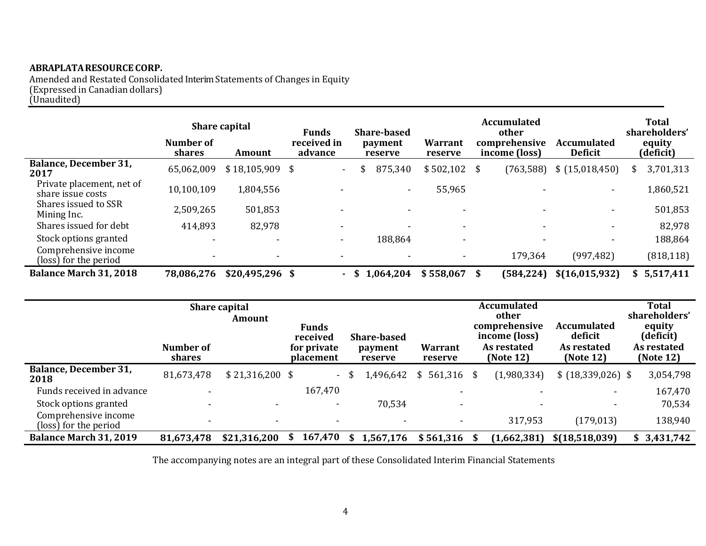Amended and Restated Consolidated Interim Statements of Changes in Equity (Expressed in Canadian dollars) (Unaudited)

|                                                | Number of<br><b>shares</b> | <b>Share capital</b><br>Amount | <b>Funds</b><br>received in<br>advance | <b>Share-based</b><br>payment<br>reserve | <b>Warrant</b><br>reserve | <b>Accumulated</b><br>other<br>comprehensive<br>income (loss) | <b>Accumulated</b><br><b>Deficit</b> | <b>Total</b><br>shareholders'<br>equity<br>(deficit) |
|------------------------------------------------|----------------------------|--------------------------------|----------------------------------------|------------------------------------------|---------------------------|---------------------------------------------------------------|--------------------------------------|------------------------------------------------------|
| <b>Balance, December 31,</b><br>2017           | 65,062,009                 | $$18,105,909$ \$               | $\sim$                                 | 875,340                                  | \$502,102                 | (763, 588)<br>-S                                              | \$(15,018,450)                       | 3,701,313                                            |
| Private placement, net of<br>share issue costs | 10,100,109                 | 1,804,556                      | $\sim$                                 | $\overline{\phantom{a}}$                 | 55,965                    |                                                               | $\overline{\phantom{a}}$             | 1,860,521                                            |
| Shares issued to SSR<br>Mining Inc.            | 2,509,265                  | 501,853                        |                                        |                                          |                           |                                                               | $\overline{\phantom{a}}$             | 501,853                                              |
| Shares issued for debt                         | 414,893                    | 82,978                         | $\overline{\phantom{0}}$               |                                          |                           |                                                               | $\overline{\phantom{a}}$             | 82,978                                               |
| Stock options granted                          |                            | -                              | $\sim$                                 | 188,864                                  | -                         |                                                               | $\overline{\phantom{a}}$             | 188,864                                              |
| Comprehensive income<br>(loss) for the period  |                            | ٠                              | $\overline{\phantom{a}}$               |                                          |                           | 179,364                                                       | (997, 482)                           | (818, 118)                                           |
| <b>Balance March 31, 2018</b>                  | 78,086,276                 | $$20,495,296$ \$               |                                        | 1,064,204<br>- \$                        | \$558,067                 | (584, 224)<br>- \$                                            | \$(16, 015, 932)                     | \$5,517,411                                          |

|                                               | Number of<br><b>shares</b> | <b>Share capital</b><br>Amount | <b>Funds</b><br>received<br>for private<br><b>placement</b> | <b>Share-based</b><br>Warrant<br>payment<br>reserve<br>reserve |             | <b>Accumulated</b><br>other<br>comprehensive<br><b>Accumulated</b><br>deficit<br>income (loss)<br>As restated<br>As restated<br>(Note 12)<br>(Note 12) |  |             | <b>Total</b><br>shareholders'<br>equity<br>(deficit)<br>As restated<br>(Note 12) |  |             |
|-----------------------------------------------|----------------------------|--------------------------------|-------------------------------------------------------------|----------------------------------------------------------------|-------------|--------------------------------------------------------------------------------------------------------------------------------------------------------|--|-------------|----------------------------------------------------------------------------------|--|-------------|
| <b>Balance, December 31,</b><br>2018          | 81,673,478                 | $$21,316,200$ \$               |                                                             | - \$                                                           | 1,496,642   | $561,316$ \$<br>\$                                                                                                                                     |  | (1,980,334) | $$ (18,339,026)$ \$                                                              |  | 3,054,798   |
| Funds received in advance                     | $\overline{\phantom{0}}$   |                                | 167,470                                                     |                                                                |             | $\overline{\phantom{a}}$                                                                                                                               |  | -           | ۰                                                                                |  | 167,470     |
| Stock options granted                         | $\overline{\phantom{a}}$   |                                | $\overline{\phantom{a}}$                                    |                                                                | 70,534      | $\overline{\phantom{a}}$                                                                                                                               |  | -           | $\overline{\phantom{0}}$                                                         |  | 70,534      |
| Comprehensive income<br>(loss) for the period | $\overline{\phantom{0}}$   |                                | $\overline{\phantom{a}}$                                    |                                                                |             |                                                                                                                                                        |  | 317,953     | (179, 013)                                                                       |  | 138,940     |
| <b>Balance March 31, 2019</b>                 | 81,673,478                 | \$21,316,200                   | 167,470<br>S                                                |                                                                | \$1,567,176 | $$561,316$ \$                                                                                                                                          |  | (1,662,381) | \$(18,518,039)                                                                   |  | \$3,431,742 |

The accompanying notes are an integral part of these Consolidated Interim Financial Statements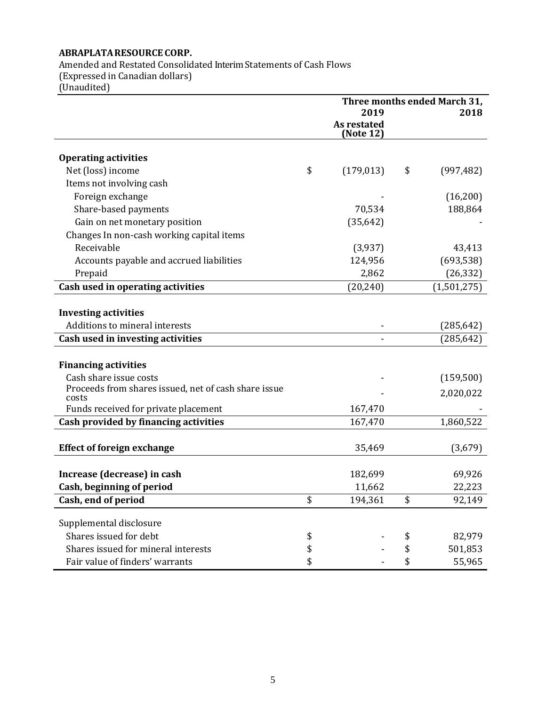Amended and Restated Consolidated Interim Statements of Cash Flows (Expressed in Canadian dollars) (Unaudited)

**Three months ended March 31, 2019 2018 As restated (Note 12) Operating activities** Net (loss) income  $\qquad \qquad$  (179,013)  $\qquad$  (997,482) Items not involving cash Foreign exchange  $(16,200)$ Share-based payments **188,864** 188,864 Gain on net monetary position (35,642) Changes In non-cash working capital items Receivable (3,937) 43,413 Accounts payable and accrued liabilities 124,956 (693,538) Prepaid 2,862 (26,332) **Cash used in operating activities** (20,240) (1,501,275) **Investing activities** Additions to mineral interests  $(285,642)$ **Cash used in investing activities** - (285,642) **Financing activities** Cash share issue costs (159,500) Proceeds from shares issued, net of cash share issue From the costs of the costs costs costs and  $\sim$  2,020,022 Funds received for private placement 167,470 **Cash provided by financing activities** 167,470 1,860,522 **Effect of foreign exchange** 35,469 (3,679) **Increase (decrease) in cash** 182,699 69,926 **Cash, beginning of period** 22,223 **Cash, end of period**  $\frac{194,361}{92,149}$ Supplemental disclosure Shares issued for debt  $\qquad \qquad$  \$  $\qquad \qquad$  82,979 Shares issued for mineral interests  $\qquad \qquad$  \$  $\qquad \qquad$  501,853 Fair value of finders' warrants  $\qquad \qquad$  \$ - \$ 55,965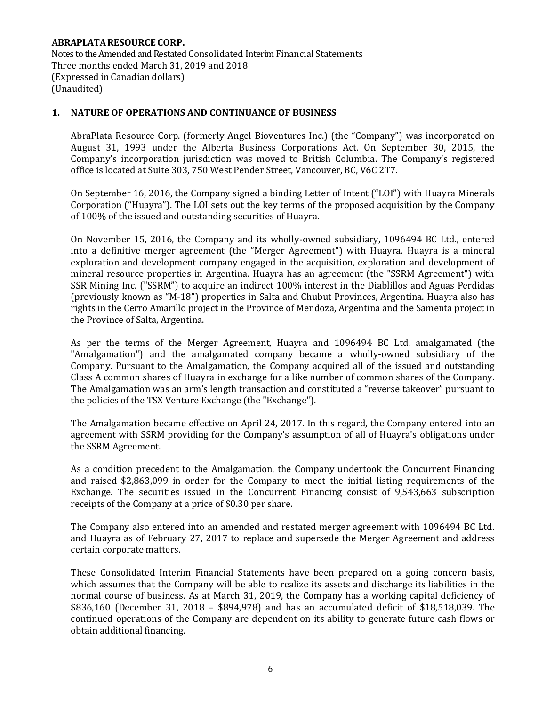## **1. NATURE OF OPERATIONS AND CONTINUANCE OF BUSINESS**

AbraPlata Resource Corp. (formerly Angel Bioventures Inc.) (the "Company") was incorporated on August 31, 1993 under the Alberta Business Corporations Act. On September 30, 2015, the Company's incorporation jurisdiction was moved to British Columbia. The Company's registered office is located at Suite 303, 750 West Pender Street, Vancouver, BC, V6C 2T7.

On September 16, 2016, the Company signed a binding Letter of Intent ("LOI") with Huayra Minerals Corporation ("Huayra"). The LOI sets out the key terms of the proposed acquisition by the Company of 100% of the issued and outstanding securities of Huayra.

On November 15, 2016, the Company and its wholly-owned subsidiary, 1096494 BC Ltd., entered into a definitive merger agreement (the "Merger Agreement") with Huayra. Huayra is a mineral exploration and development company engaged in the acquisition, exploration and development of mineral resource properties in Argentina. Huayra has an agreement (the "SSRM Agreement") with SSR Mining Inc. ("SSRM") to acquire an indirect 100% interest in the Diablillos and Aguas Perdidas (previously known as "M-18") properties in Salta and Chubut Provinces, Argentina. Huayra also has rights in the Cerro Amarillo project in the Province of Mendoza, Argentina and the Samenta project in the Province of Salta, Argentina.

As per the terms of the Merger Agreement, Huayra and 1096494 BC Ltd. amalgamated (the "Amalgamation") and the amalgamated company became a wholly-owned subsidiary of the Company. Pursuant to the Amalgamation, the Company acquired all of the issued and outstanding Class A common shares of Huayra in exchange for a like number of common shares of the Company. The Amalgamation was an arm's length transaction and constituted a "reverse takeover" pursuant to the policies of the TSX Venture Exchange (the "Exchange").

The Amalgamation became effective on April 24, 2017. In this regard, the Company entered into an agreement with SSRM providing for the Company's assumption of all of Huayra's obligations under the SSRM Agreement.

As a condition precedent to the Amalgamation, the Company undertook the Concurrent Financing and raised \$2,863,099 in order for the Company to meet the initial listing requirements of the Exchange. The securities issued in the Concurrent Financing consist of 9,543,663 subscription receipts of the Company at a price of \$0.30 per share.

The Company also entered into an amended and restated merger agreement with 1096494 BC Ltd. and Huayra as of February 27, 2017 to replace and supersede the Merger Agreement and address certain corporate matters.

These Consolidated Interim Financial Statements have been prepared on a going concern basis, which assumes that the Company will be able to realize its assets and discharge its liabilities in the normal course of business. As at March 31, 2019, the Company has a working capital deficiency of \$836,160 (December 31, 2018 – \$894,978) and has an accumulated deficit of \$18,518,039. The continued operations of the Company are dependent on its ability to generate future cash flows or obtain additional financing.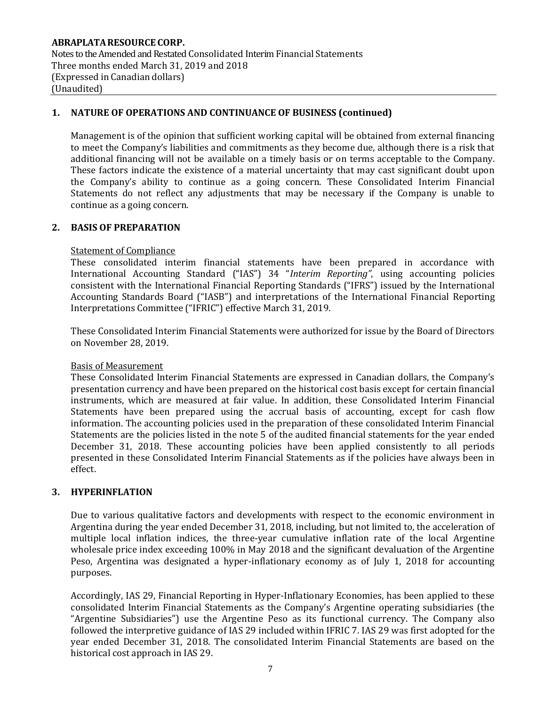# **1. NATURE OF OPERATIONS AND CONTINUANCE OF BUSINESS (continued)**

Management is of the opinion that sufficient working capital will be obtained from external financing to meet the Company's liabilities and commitments as they become due, although there is a risk that additional financing will not be available on a timely basis or on terms acceptable to the Company. These factors indicate the existence of a material uncertainty that may cast significant doubt upon the Company's ability to continue as a going concern. These Consolidated Interim Financial Statements do not reflect any adjustments that may be necessary if the Company is unable to continue as a going concern.

## **2. BASIS OF PREPARATION**

## Statement of Compliance

These consolidated interim financial statements have been prepared in accordance with International Accounting Standard ("IAS") 34 "*Interim Reporting"*, using accounting policies consistent with the International Financial Reporting Standards ("IFRS") issued by the International Accounting Standards Board ("IASB") and interpretations of the International Financial Reporting Interpretations Committee ("IFRIC") effective March 31, 2019.

These Consolidated Interim Financial Statements were authorized for issue by the Board of Directors on November 28, 2019.

#### Basis of Measurement

These Consolidated Interim Financial Statements are expressed in Canadian dollars, the Company's presentation currency and have been prepared on the historical cost basis except for certain financial instruments, which are measured at fair value. In addition, these Consolidated Interim Financial Statements have been prepared using the accrual basis of accounting, except for cash flow information. The accounting policies used in the preparation of these consolidated Interim Financial Statements are the policies listed in the note 5 of the audited financial statements for the year ended December 31, 2018. These accounting policies have been applied consistently to all periods presented in these Consolidated Interim Financial Statements as if the policies have always been in effect.

## **3. HYPERINFLATION**

Due to various qualitative factors and developments with respect to the economic environment in Argentina during the year ended December 31, 2018, including, but not limited to, the acceleration of multiple local inflation indices, the three-year cumulative inflation rate of the local Argentine wholesale price index exceeding 100% in May 2018 and the significant devaluation of the Argentine Peso, Argentina was designated a hyper-inflationary economy as of July 1, 2018 for accounting purposes.

Accordingly, IAS 29, Financial Reporting in Hyper-Inflationary Economies, has been applied to these consolidated Interim Financial Statements as the Company's Argentine operating subsidiaries (the "Argentine Subsidiaries") use the Argentine Peso as its functional currency. The Company also followed the interpretive guidance of IAS 29 included within IFRIC 7. IAS 29 was first adopted for the year ended December 31, 2018. The consolidated Interim Financial Statements are based on the historical cost approach in IAS 29.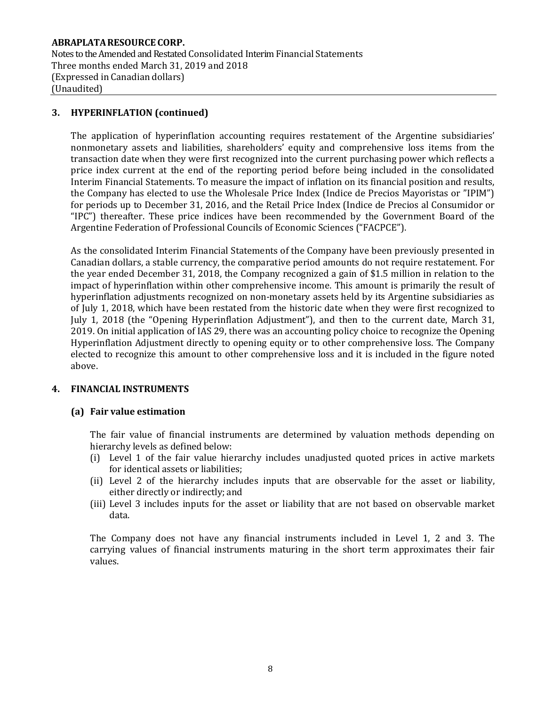**ABRAPLATARESOURCE CORP.** Notes to the Amended and Restated Consolidated Interim Financial Statements Three months ended March 31, 2019 and 2018 (Expressed in Canadian dollars) (Unaudited)

## **3. HYPERINFLATION (continued)**

The application of hyperinflation accounting requires restatement of the Argentine subsidiaries' nonmonetary assets and liabilities, shareholders' equity and comprehensive loss items from the transaction date when they were first recognized into the current purchasing power which reflects a price index current at the end of the reporting period before being included in the consolidated Interim Financial Statements. To measure the impact of inflation on its financial position and results, the Company has elected to use the Wholesale Price Index (Indice de Precios Mayoristas or "IPIM") for periods up to December 31, 2016, and the Retail Price Index (Indice de Precios al Consumidor or "IPC") thereafter. These price indices have been recommended by the Government Board of the Argentine Federation of Professional Councils of Economic Sciences ("FACPCE").

As the consolidated Interim Financial Statements of the Company have been previously presented in Canadian dollars, a stable currency, the comparative period amounts do not require restatement. For the year ended December 31, 2018, the Company recognized a gain of \$1.5 million in relation to the impact of hyperinflation within other comprehensive income. This amount is primarily the result of hyperinflation adjustments recognized on non-monetary assets held by its Argentine subsidiaries as of July 1, 2018, which have been restated from the historic date when they were first recognized to July 1, 2018 (the "Opening Hyperinflation Adjustment"), and then to the current date, March 31, 2019. On initial application of IAS 29, there was an accounting policy choice to recognize the Opening Hyperinflation Adjustment directly to opening equity or to other comprehensive loss. The Company elected to recognize this amount to other comprehensive loss and it is included in the figure noted above.

## **4. FINANCIAL INSTRUMENTS**

## **(a) Fair value estimation**

The fair value of financial instruments are determined by valuation methods depending on hierarchy levels as defined below:

- (i) Level 1 of the fair value hierarchy includes unadjusted quoted prices in active markets for identical assets or liabilities;
- (ii) Level 2 of the hierarchy includes inputs that are observable for the asset or liability, either directly or indirectly; and
- (iii) Level 3 includes inputs for the asset or liability that are not based on observable market data.

The Company does not have any financial instruments included in Level 1, 2 and 3. The carrying values of financial instruments maturing in the short term approximates their fair values.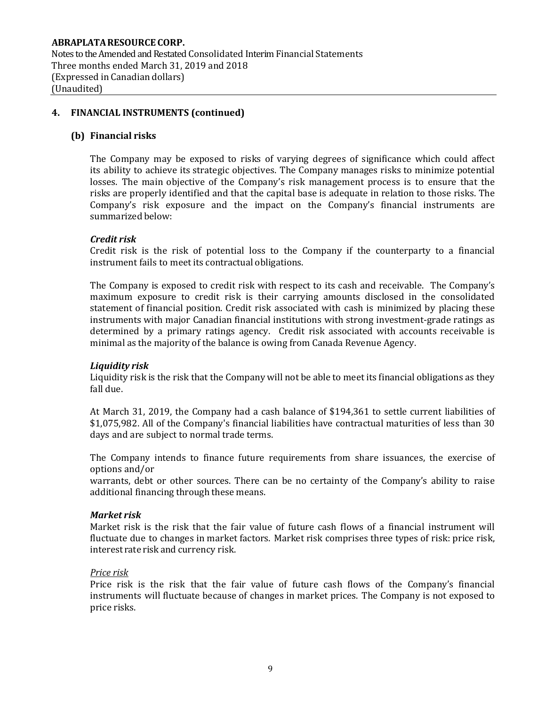## **4. FINANCIAL INSTRUMENTS (continued)**

#### **(b) Financial risks**

The Company may be exposed to risks of varying degrees of significance which could affect its ability to achieve its strategic objectives. The Company manages risks to minimize potential losses. The main objective of the Company's risk management process is to ensure that the risks are properly identified and that the capital base is adequate in relation to those risks. The Company's risk exposure and the impact on the Company's financial instruments are summarized below:

## *Credit risk*

Credit risk is the risk of potential loss to the Company if the counterparty to a financial instrument fails to meet its contractual obligations.

The Company is exposed to credit risk with respect to its cash and receivable. The Company's maximum exposure to credit risk is their carrying amounts disclosed in the consolidated statement of financial position. Credit risk associated with cash is minimized by placing these instruments with major Canadian financial institutions with strong investment-grade ratings as determined by a primary ratings agency. Credit risk associated with accounts receivable is minimal as the majority of the balance is owing from Canada Revenue Agency.

## *Liquidity risk*

Liquidity risk is the risk that the Company will not be able to meet its financial obligations as they fall due.

At March 31, 2019, the Company had a cash balance of \$194,361 to settle current liabilities of \$1,075,982. All of the Company's financial liabilities have contractual maturities of less than 30 days and are subject to normal trade terms.

The Company intends to finance future requirements from share issuances, the exercise of options and/or

warrants, debt or other sources. There can be no certainty of the Company's ability to raise additional financing through these means.

#### *Market risk*

Market risk is the risk that the fair value of future cash flows of a financial instrument will fluctuate due to changes in market factors. Market risk comprises three types of risk: price risk, interest rate risk and currency risk.

#### *Price risk*

Price risk is the risk that the fair value of future cash flows of the Company's financial instruments will fluctuate because of changes in market prices. The Company is not exposed to price risks.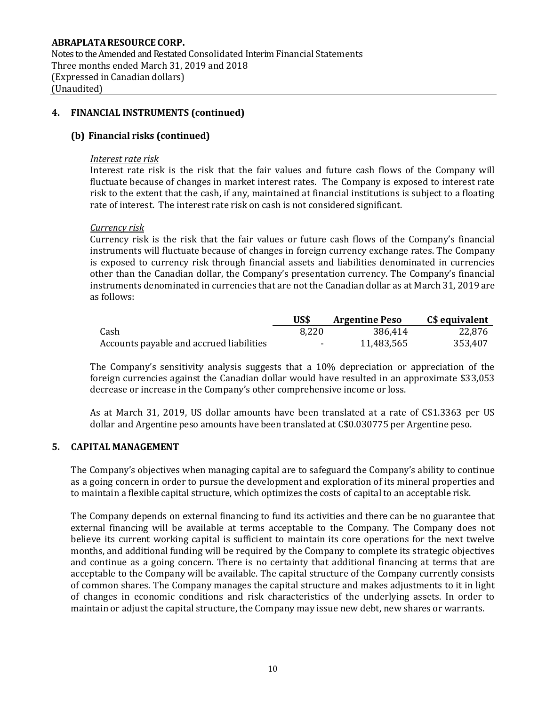Notes to the Amended and Restated Consolidated Interim Financial Statements Three months ended March 31, 2019 and 2018 (Expressed in Canadian dollars) (Unaudited)

## **4. FINANCIAL INSTRUMENTS (continued)**

## **(b) Financial risks (continued)**

#### *Interest rate risk*

Interest rate risk is the risk that the fair values and future cash flows of the Company will fluctuate because of changes in market interest rates. The Company is exposed to interest rate risk to the extent that the cash, if any, maintained at financial institutions is subject to a floating rate of interest. The interest rate risk on cash is not considered significant.

#### *Currency risk*

Currency risk is the risk that the fair values or future cash flows of the Company's financial instruments will fluctuate because of changes in foreign currency exchange rates. The Company is exposed to currency risk through financial assets and liabilities denominated in currencies other than the Canadian dollar, the Company's presentation currency. The Company's financial instruments denominated in currencies that are not the Canadian dollar as at March 31, 2019 are as follows:

|                                          | US\$  | <b>Argentine Peso</b> | C\$ equivalent |
|------------------------------------------|-------|-----------------------|----------------|
| Cash                                     | 8,220 | 386.414               | 22.876         |
| Accounts payable and accrued liabilities | ۰     | 11,483,565            | 353,407        |

The Company's sensitivity analysis suggests that a 10% depreciation or appreciation of the foreign currencies against the Canadian dollar would have resulted in an approximate \$33,053 decrease or increase in the Company's other comprehensive income or loss.

As at March 31, 2019, US dollar amounts have been translated at a rate of C\$1.3363 per US dollar and Argentine peso amounts have been translated at C\$0.030775 per Argentine peso.

## **5. CAPITAL MANAGEMENT**

The Company's objectives when managing capital are to safeguard the Company's ability to continue as a going concern in order to pursue the development and exploration of its mineral properties and to maintain a flexible capital structure, which optimizes the costs of capital to an acceptable risk.

The Company depends on external financing to fund its activities and there can be no guarantee that external financing will be available at terms acceptable to the Company. The Company does not believe its current working capital is sufficient to maintain its core operations for the next twelve months, and additional funding will be required by the Company to complete its strategic objectives and continue as a going concern. There is no certainty that additional financing at terms that are acceptable to the Company will be available. The capital structure of the Company currently consists of common shares. The Company manages the capital structure and makes adjustments to it in light of changes in economic conditions and risk characteristics of the underlying assets. In order to maintain or adjust the capital structure, the Company may issue new debt, new shares or warrants.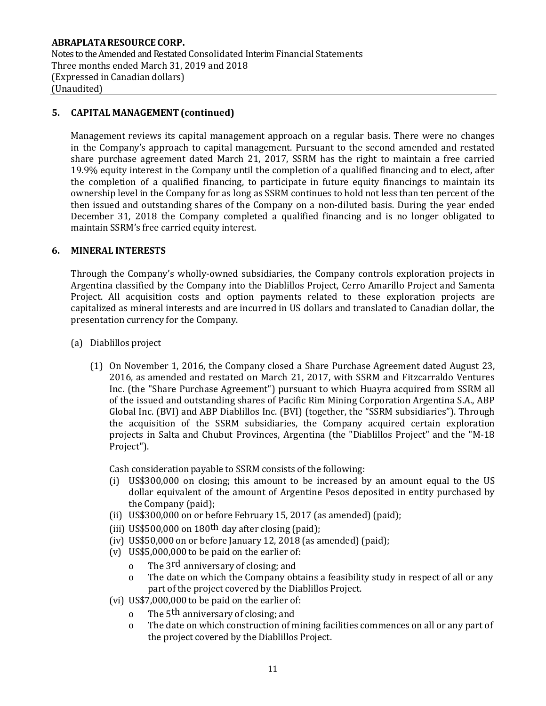# **5. CAPITAL MANAGEMENT(continued)**

Management reviews its capital management approach on a regular basis. There were no changes in the Company's approach to capital management. Pursuant to the second amended and restated share purchase agreement dated March 21, 2017, SSRM has the right to maintain a free carried 19.9% equity interest in the Company until the completion of a qualified financing and to elect, after the completion of a qualified financing, to participate in future equity financings to maintain its ownership level in the Company for as long as SSRM continues to hold not less than ten percent of the then issued and outstanding shares of the Company on a non-diluted basis. During the year ended December 31, 2018 the Company completed a qualified financing and is no longer obligated to maintain SSRM's free carried equity interest.

## **6. MINERAL INTERESTS**

Through the Company's wholly-owned subsidiaries, the Company controls exploration projects in Argentina classified by the Company into the Diablillos Project, Cerro Amarillo Project and Samenta Project. All acquisition costs and option payments related to these exploration projects are capitalized as mineral interests and are incurred in US dollars and translated to Canadian dollar, the presentation currency for the Company.

- (a) Diablillos project
	- (1) On November 1, 2016, the Company closed a Share Purchase Agreement dated August 23, 2016, as amended and restated on March 21, 2017, with SSRM and Fitzcarraldo Ventures Inc. (the "Share Purchase Agreement") pursuant to which Huayra acquired from SSRM all of the issued and outstanding shares of Pacific Rim Mining Corporation Argentina S.A., ABP Global Inc. (BVI) and ABP Diablillos Inc. (BVI) (together, the "SSRM subsidiaries"). Through the acquisition of the SSRM subsidiaries, the Company acquired certain exploration projects in Salta and Chubut Provinces, Argentina (the "Diablillos Project" and the "M-18 Project").

Cash consideration payable to SSRM consists of the following:

- (i) US\$300,000 on closing; this amount to be increased by an amount equal to the US dollar equivalent of the amount of Argentine Pesos deposited in entity purchased by the Company (paid);
- (ii) US\$300,000 on or before February 15, 2017 (as amended)(paid);
- (iii) US\$500,000 on 180<sup>th</sup> day after closing (paid);
- (iv) US\$50,000 on or before January 12, 2018 (as amended) (paid);
- (v) US\$5,000,000 to be paid on the earlier of:
	- o The 3<sup>rd</sup> anniversary of closing; and
	- o The date on which the Company obtains a feasibility study in respect of all or any part of the project covered by the Diablillos Project.
- (vi) US\$7,000,000 to be paid on the earlier of:
	- o The 5<sup>th</sup> anniversary of closing; and
	- o The date on which construction of mining facilities commences on all or any part of the project covered by the Diablillos Project.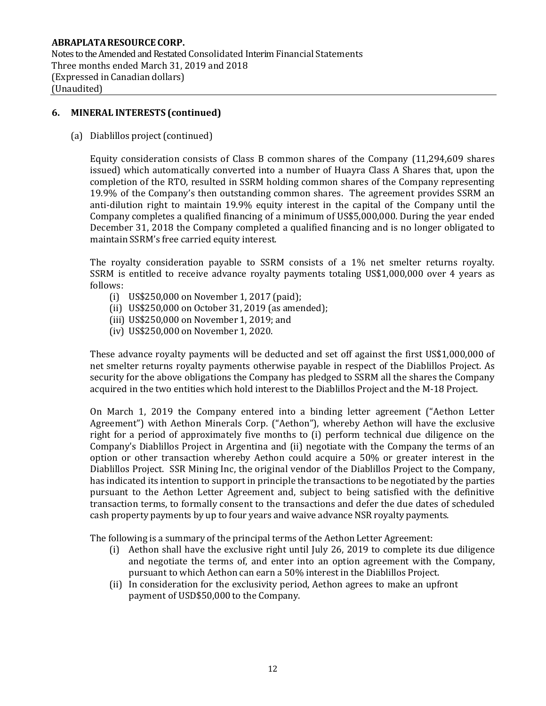Notes to the Amended and Restated Consolidated Interim Financial Statements Three months ended March 31, 2019 and 2018 (Expressed in Canadian dollars) (Unaudited)

## **6. MINERAL INTERESTS (continued)**

(a) Diablillos project(continued)

Equity consideration consists of Class B common shares of the Company (11,294,609 shares issued) which automatically converted into a number of Huayra Class A Shares that, upon the completion of the RTO, resulted in SSRM holding common shares of the Company representing 19.9% of the Company's then outstanding common shares. The agreement provides SSRM an anti-dilution right to maintain 19.9% equity interest in the capital of the Company until the Company completes a qualified financing of a minimum of US\$5,000,000. During the year ended December 31, 2018 the Company completed a qualified financing and is no longer obligated to maintain SSRM's free carried equity interest.

The royalty consideration payable to SSRM consists of a 1% net smelter returns royalty. SSRM is entitled to receive advance royalty payments totaling US\$1,000,000 over 4 years as follows:

- (i) US\$250,000 on November 1, 2017 (paid);
- (ii) US\$250,000 on October 31, 2019 (as amended);
- (iii) US\$250,000 on November 1, 2019; and
- (iv) US\$250,000 on November 1, 2020.

These advance royalty payments will be deducted and set off against the first US\$1,000,000 of net smelter returns royalty payments otherwise payable in respect of the Diablillos Project. As security for the above obligations the Company has pledged to SSRM all the shares the Company acquired in the two entities which hold interest to the Diablillos Project and the M-18 Project.

On March 1, 2019 the Company entered into a binding letter agreement ("Aethon Letter Agreement") with Aethon Minerals Corp. ("Aethon"), whereby Aethon will have the exclusive right for a period of approximately five months to (i) perform technical due diligence on the Company's Diablillos Project in Argentina and (ii) negotiate with the Company the terms of an option or other transaction whereby Aethon could acquire a 50% or greater interest in the Diablillos Project. SSR Mining Inc, the original vendor of the Diablillos Project to the Company, has indicated its intention to support in principle the transactions to be negotiated by the parties pursuant to the Aethon Letter Agreement and, subject to being satisfied with the definitive transaction terms, to formally consent to the transactions and defer the due dates of scheduled cash property payments by up to four years and waive advance NSR royalty payments.

The following is a summary of the principal terms of the Aethon Letter Agreement:

- (i) Aethon shall have the exclusive right until July 26, 2019 to complete its due diligence and negotiate the terms of, and enter into an option agreement with the Company, pursuant to which Aethon can earn a 50% interest in the Diablillos Project.
- (ii) In consideration for the exclusivity period, Aethon agrees to make an upfront payment of USD\$50,000 to the Company.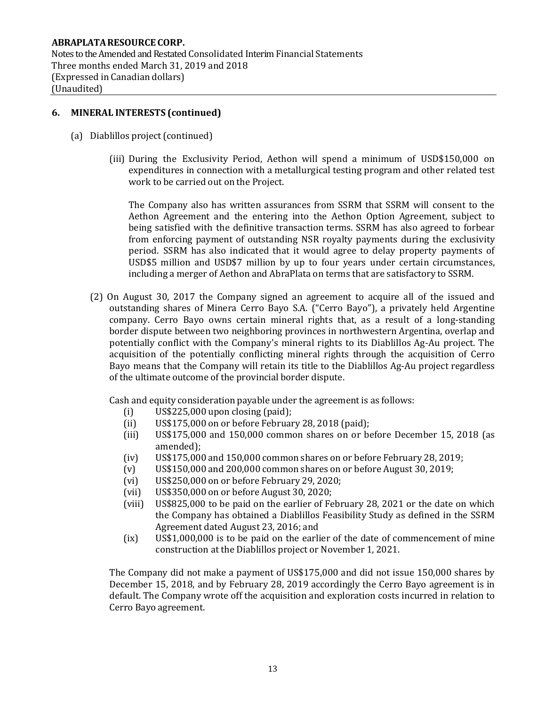Notes to the Amended and Restated Consolidated Interim Financial Statements Three months ended March 31, 2019 and 2018 (Expressed in Canadian dollars) (Unaudited)

## **6. MINERAL INTERESTS (continued)**

- (a) Diablillos project(continued)
	- (iii) During the Exclusivity Period, Aethon will spend a minimum of USD\$150,000 on expenditures in connection with a metallurgical testing program and other related test work to be carried out on the Project.

The Company also has written assurances from SSRM that SSRM will consent to the Aethon Agreement and the entering into the Aethon Option Agreement, subject to being satisfied with the definitive transaction terms. SSRM has also agreed to forbear from enforcing payment of outstanding NSR royalty payments during the exclusivity period. SSRM has also indicated that it would agree to delay property payments of USD\$5 million and USD\$7 million by up to four years under certain circumstances, including a merger of Aethon and AbraPlata on terms that are satisfactory to SSRM.

(2) On August 30, 2017 the Company signed an agreement to acquire all of the issued and outstanding shares of Minera Cerro Bayo S.A. ("Cerro Bayo"), a privately held Argentine company. Cerro Bayo owns certain mineral rights that, as a result of a long-standing border dispute between two neighboring provinces in northwestern Argentina, overlap and potentially conflict with the Company's mineral rights to its Diablillos Ag-Au project. The acquisition of the potentially conflicting mineral rights through the acquisition of Cerro Bayo means that the Company will retain its title to the Diablillos Ag-Au project regardless of the ultimate outcome of the provincial border dispute.

Cash and equity consideration payable under the agreement is as follows:

- (i) US\$225,000 upon closing (paid);
- (ii) US\$175,000 on or before February 28, 2018 (paid);
- (iii) US\$175,000 and 150,000 common shares on or before December 15, 2018 (as amended);
- (iv) US\$175,000 and 150,000 common shares on or before February 28, 2019;
- (v) US\$150,000 and 200,000 common shares on or before August 30, 2019;
- (vi) US\$250,000 on or before February 29, 2020;
- (vii) US\$350,000 on or before August 30, 2020;
- (viii) US\$825,000 to be paid on the earlier of February 28, 2021 or the date on which the Company has obtained a Diablillos Feasibility Study as defined in the SSRM Agreement dated August 23, 2016; and
- (ix) US\$1,000,000 is to be paid on the earlier of the date of commencement of mine construction at the Diablillos project or November 1, 2021.

The Company did not make a payment of US\$175,000 and did not issue 150,000 shares by December 15, 2018, and by February 28, 2019 accordingly the Cerro Bayo agreement is in default. The Company wrote off the acquisition and exploration costs incurred in relation to Cerro Bayo agreement.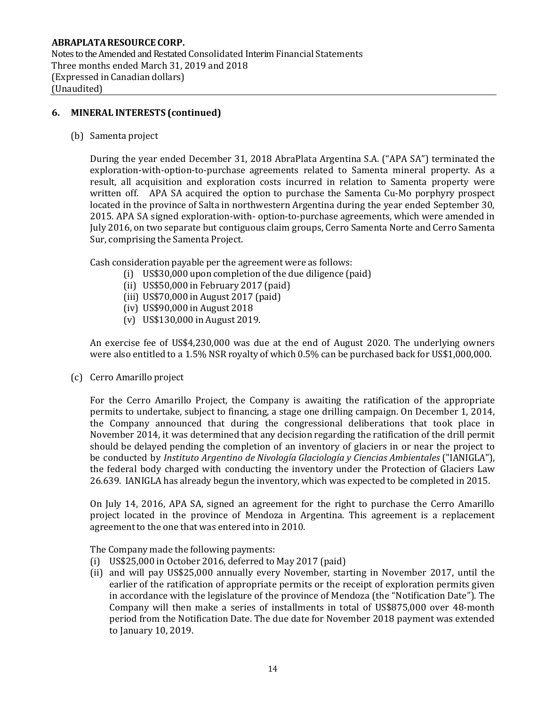## **6. MINERAL INTERESTS (continued)**

(b) Samenta project

During the year ended December 31, 2018 AbraPlata Argentina S.A. ("APA SA") terminated the exploration-with-option-to-purchase agreements related to Samenta mineral property. As a result, all acquisition and exploration costs incurred in relation to Samenta property were written off. APA SA acquired the option to purchase the Samenta Cu-Mo porphyry prospect located in the province of Salta in northwestern Argentina during the year ended September 30, 2015. APA SA signed exploration-with- option-to-purchase agreements, which were amended in July 2016, on two separate but contiguous claim groups, Cerro Samenta Norte and Cerro Samenta Sur, comprising the Samenta Project.

Cash consideration payable per the agreement were as follows:

- (i) US\$30,000 upon completion of the due diligence (paid)
- (ii) US\$50,000 in February 2017 (paid)
- (iii) US\$70,000 in August 2017 (paid)
- (iv) US\$90,000 in August 2018
- (v) US\$130,000 in August 2019.

An exercise fee of US\$4,230,000 was due at the end of August 2020. The underlying owners were also entitled to a 1.5% NSR royalty of which 0.5% can be purchased back for US\$1,000,000.

(c) Cerro Amarillo project

For the Cerro Amarillo Project, the Company is awaiting the ratification of the appropriate permits to undertake, subject to financing, a stage one drilling campaign. On December 1, 2014, the Company announced that during the congressional deliberations that took place in November 2014, it was determined that any decision regarding the ratification of the drill permit should be delayed pending the completion of an inventory of glaciers in or near the project to be conducted by *Instituto Argentino de Nivología Glaciología y Ciencias Ambientales* ("IANIGLA"), the federal body charged with conducting the inventory under the Protection of Glaciers Law 26.639. IANIGLA has already begun the inventory, which was expected to be completed in 2015.

On July 14, 2016, APA SA, signed an agreement for the right to purchase the Cerro Amarillo project located in the province of Mendoza in Argentina. This agreement is a replacement agreement to the one that was entered into in 2010.

The Company made the following payments:

- (i) US\$25,000 in October 2016, deferred to May 2017 (paid)
- (ii) and will pay US\$25,000 annually every November, starting in November 2017, until the earlier of the ratification of appropriate permits or the receipt of exploration permits given in accordance with the legislature of the province of Mendoza (the "Notification Date"). The Company will then make a series of installments in total of US\$875,000 over 48-month period from the Notification Date. The due date for November 2018 payment was extended to January 10, 2019.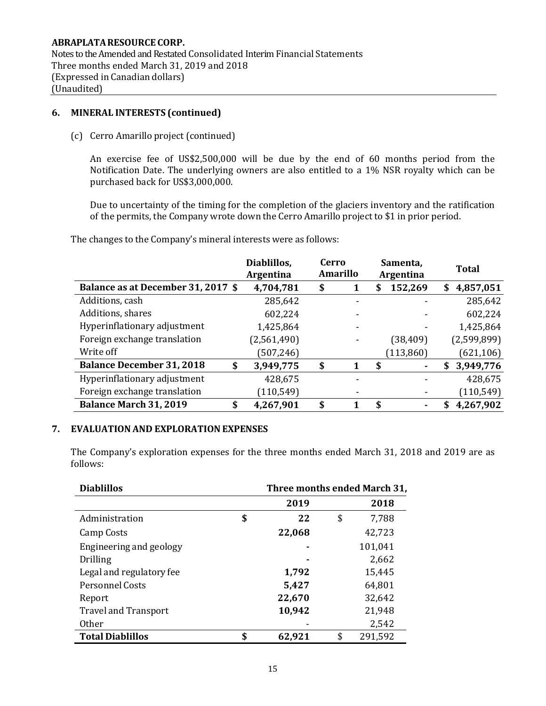Notes to the Amended and Restated Consolidated Interim Financial Statements Three months ended March 31, 2019 and 2018 (Expressed in Canadian dollars) (Unaudited)

## **6. MINERAL INTERESTS (continued)**

(c) Cerro Amarillo project (continued)

An exercise fee of US\$2,500,000 will be due by the end of 60 months period from the Notification Date. The underlying owners are also entitled to a 1% NSR royalty which can be purchased back for US\$3,000,000.

Due to uncertainty of the timing for the completion of the glaciers inventory and the ratification of the permits, the Company wrote down the Cerro Amarillo project to \$1 in prior period.

The changes to the Company's mineral interests were as follows:

|                                        | Diablillos,<br><b>Argentina</b> | Cerro | <b>Amarillo</b> | Samenta,<br>Argentina | <b>Total</b>     |
|----------------------------------------|---------------------------------|-------|-----------------|-----------------------|------------------|
| Balance as at December 31, 2017 \$     | 4,704,781                       | \$    |                 | 152,269<br>S          | 4,857,051<br>S   |
| Additions, cash                        | 285,642                         |       |                 |                       | 285,642          |
| Additions, shares                      | 602,224                         |       |                 |                       | 602,224          |
| Hyperinflationary adjustment           | 1,425,864                       |       |                 |                       | 1,425,864        |
| Foreign exchange translation           | (2,561,490)                     |       |                 | (38, 409)             | (2,599,899)      |
| Write off                              | (507, 246)                      |       |                 | (113, 860)            | (621, 106)       |
| <b>Balance December 31, 2018</b><br>\$ | 3,949,775                       | \$    |                 | \$                    | 3,949,776<br>\$  |
| Hyperinflationary adjustment           | 428,675                         |       |                 |                       | 428,675          |
| Foreign exchange translation           | (110, 549)                      |       |                 |                       | (110, 549)       |
| Balance March 31, 2019<br>\$           | 4,267,901                       | \$    |                 | \$                    | 4,267,902<br>\$. |

## **7. EVALUATIONAND EXPLORATION EXPENSES**

The Company's exploration expenses for the three months ended March 31, 2018 and 2019 are as follows:

| <b>Diablillos</b>           | Three months ended March 31, |    |         |  |  |
|-----------------------------|------------------------------|----|---------|--|--|
|                             | 2019                         |    | 2018    |  |  |
| Administration              | \$<br>22                     | \$ | 7,788   |  |  |
| Camp Costs                  | 22,068                       |    | 42,723  |  |  |
| Engineering and geology     |                              |    | 101,041 |  |  |
| <b>Drilling</b>             |                              |    | 2,662   |  |  |
| Legal and regulatory fee    | 1,792                        |    | 15,445  |  |  |
| <b>Personnel Costs</b>      | 5,427                        |    | 64,801  |  |  |
| Report                      | 22,670                       |    | 32,642  |  |  |
| <b>Travel and Transport</b> | 10,942                       |    | 21,948  |  |  |
| 0ther                       |                              |    | 2,542   |  |  |
| <b>Total Diablillos</b>     | \$<br>62,921                 | \$ | 291,592 |  |  |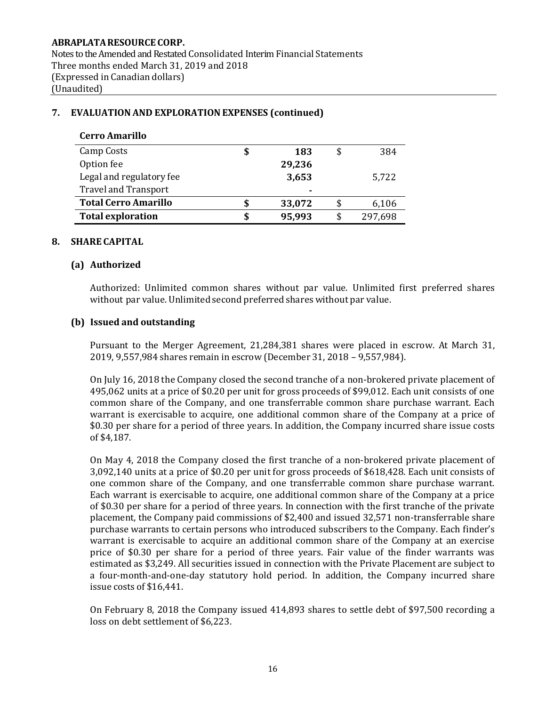# **ABRAPLATARESOURCE CORP.** Notes to the Amended and Restated Consolidated Interim Financial Statements Three months ended March 31, 2019 and 2018 (Expressed in Canadian dollars) (Unaudited)

# **Cerro Amarillo** Camp Costs **\$ 183** \$ 384 Option fee **29,236** Legal and regulatory fee **3,653** 5,722 Travel and Transport **- Total Cerro Amarillo \$ 33,072** \$ 6,106 **Total exploration \$ 95,993** \$ 297,698

# **7. EVALUATIONAND EXPLORATION EXPENSES (continued)**

## **8. SHARE CAPITAL**

#### **(a) Authorized**

Authorized: Unlimited common shares without par value. Unlimited first preferred shares without par value. Unlimited second preferred shares without par value.

#### **(b) Issued and outstanding**

Pursuant to the Merger Agreement, 21,284,381 shares were placed in escrow. At March 31, 2019, 9,557,984 shares remain in escrow (December 31, 2018 – 9,557,984).

On July 16, 2018 the Company closed the second tranche of a non-brokered private placement of 495,062 units at a price of \$0.20 per unit for gross proceeds of \$99,012. Each unit consists of one common share of the Company, and one transferrable common share purchase warrant. Each warrant is exercisable to acquire, one additional common share of the Company at a price of \$0.30 per share for a period of three years. In addition, the Company incurred share issue costs of \$4,187.

On May 4, 2018 the Company closed the first tranche of a non-brokered private placement of 3,092,140 units at a price of \$0.20 per unit for gross proceeds of \$618,428. Each unit consists of one common share of the Company, and one transferrable common share purchase warrant. Each warrant is exercisable to acquire, one additional common share of the Company at a price of \$0.30 per share for a period of three years. In connection with the first tranche of the private placement, the Company paid commissions of \$2,400 and issued 32,571 non-transferrable share purchase warrants to certain persons who introduced subscribers to the Company. Each finder's warrant is exercisable to acquire an additional common share of the Company at an exercise price of \$0.30 per share for a period of three years. Fair value of the finder warrants was estimated as \$3,249. All securities issued in connection with the Private Placement are subject to a four-month-and-one-day statutory hold period. In addition, the Company incurred share issue costs of \$16,441.

On February 8, 2018 the Company issued 414,893 shares to settle debt of \$97,500 recording a loss on debt settlement of \$6,223.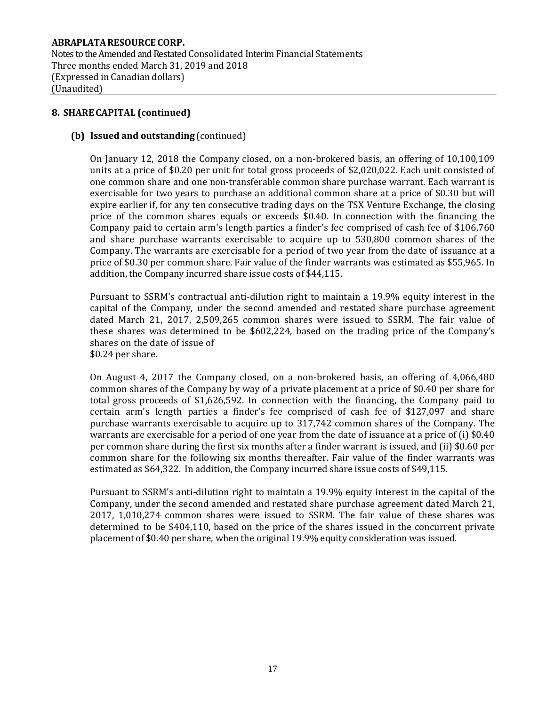Notes to the Amended and Restated Consolidated Interim Financial Statements Three months ended March 31, 2019 and 2018 (Expressed in Canadian dollars) (Unaudited)

## **8. SHARE CAPITAL (continued)**

## **(b) Issued and outstanding** (continued)

On January 12, 2018 the Company closed, on a non-brokered basis, an offering of 10,100,109 units at a price of \$0.20 per unit for total gross proceeds of \$2,020,022. Each unit consisted of one common share and one non-transferable common share purchase warrant. Each warrant is exercisable for two years to purchase an additional common share at a price of \$0.30 but will expire earlier if, for any ten consecutive trading days on the TSX Venture Exchange, the closing price of the common shares equals or exceeds \$0.40. In connection with the financing the Company paid to certain arm's length parties a finder's fee comprised of cash fee of \$106,760 and share purchase warrants exercisable to acquire up to 530,800 common shares of the Company. The warrants are exercisable for a period of two year from the date of issuance at a price of \$0.30 per common share. Fair value of the finder warrants was estimated as \$55,965. In addition, the Company incurred share issue costs of \$44,115.

Pursuant to SSRM's contractual anti-dilution right to maintain a 19.9% equity interest in the capital of the Company, under the second amended and restated share purchase agreement dated March 21, 2017, 2,509,265 common shares were issued to SSRM. The fair value of these shares was determined to be \$602,224, based on the trading price of the Company's shares on the date of issue of \$0.24 per share.

On August 4, 2017 the Company closed, on a non-brokered basis, an offering of 4,066,480 common shares of the Company by way of a private placement at a price of \$0.40 per share for total gross proceeds of \$1,626,592. In connection with the financing, the Company paid to certain arm's length parties a finder's fee comprised of cash fee of \$127,097 and share purchase warrants exercisable to acquire up to 317,742 common shares of the Company. The warrants are exercisable for a period of one year from the date of issuance at a price of (i) \$0.40 per common share during the first six months after a finder warrant is issued, and (ii) \$0.60 per common share for the following six months thereafter. Fair value of the finder warrants was estimated as \$64,322. In addition, the Company incurred share issue costs of \$49,115.

Pursuant to SSRM's anti-dilution right to maintain a 19.9% equity interest in the capital of the Company, under the second amended and restated share purchase agreement dated March 21, 2017, 1,010,274 common shares were issued to SSRM. The fair value of these shares was determined to be \$404,110, based on the price of the shares issued in the concurrent private placement of \$0.40 per share, when the original 19.9% equity consideration was issued.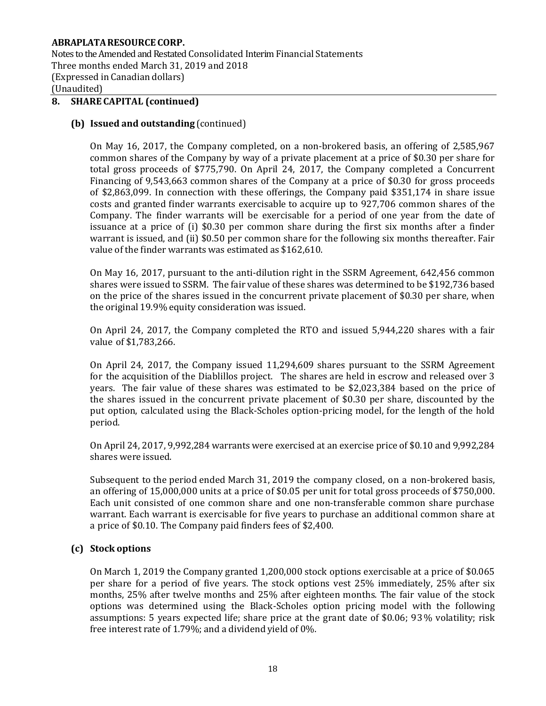Notes to the Amended and Restated Consolidated Interim Financial Statements Three months ended March 31, 2019 and 2018 (Expressed in Canadian dollars) (Unaudited)

# **8. SHARE CAPITAL (continued)**

#### **(b) Issued and outstanding** (continued)

On May 16, 2017, the Company completed, on a non-brokered basis, an offering of 2,585,967 common shares of the Company by way of a private placement at a price of \$0.30 per share for total gross proceeds of \$775,790. On April 24, 2017, the Company completed a Concurrent Financing of 9,543,663 common shares of the Company at a price of \$0.30 for gross proceeds of \$2,863,099. In connection with these offerings, the Company paid \$351,174 in share issue costs and granted finder warrants exercisable to acquire up to 927,706 common shares of the Company. The finder warrants will be exercisable for a period of one year from the date of issuance at a price of (i) \$0.30 per common share during the first six months after a finder warrant is issued, and (ii) \$0.50 per common share for the following six months thereafter. Fair value of the finder warrants was estimated as \$162,610.

On May 16, 2017, pursuant to the anti-dilution right in the SSRM Agreement, 642,456 common shares were issued to SSRM. The fair value of these shares was determined to be \$192,736 based on the price of the shares issued in the concurrent private placement of \$0.30 per share, when the original 19.9% equity consideration was issued.

On April 24, 2017, the Company completed the RTO and issued 5,944,220 shares with a fair value of \$1,783,266.

On April 24, 2017, the Company issued 11,294,609 shares pursuant to the SSRM Agreement for the acquisition of the Diablillos project. The shares are held in escrow and released over 3 years. The fair value of these shares was estimated to be \$2,023,384 based on the price of the shares issued in the concurrent private placement of \$0.30 per share, discounted by the put option, calculated using the Black-Scholes option-pricing model, for the length of the hold period.

On April 24, 2017, 9,992,284 warrants were exercised at an exercise price of \$0.10 and 9,992,284 shares were issued.

Subsequent to the period ended March 31, 2019 the company closed, on a non-brokered basis, an offering of 15,000,000 units at a price of \$0.05 per unit for total gross proceeds of \$750,000. Each unit consisted of one common share and one non-transferable common share purchase warrant. Each warrant is exercisable for five years to purchase an additional common share at a price of \$0.10. The Company paid finders fees of \$2,400.

## **(c) Stock options**

On March 1, 2019 the Company granted 1,200,000 stock options exercisable at a price of \$0.065 per share for a period of five years. The stock options vest 25% immediately, 25% after six months, 25% after twelve months and 25% after eighteen months. The fair value of the stock options was determined using the Black-Scholes option pricing model with the following assumptions: 5 years expected life; share price at the grant date of \$0.06; 93% volatility; risk free interest rate of 1.79%; and a dividend yield of 0%.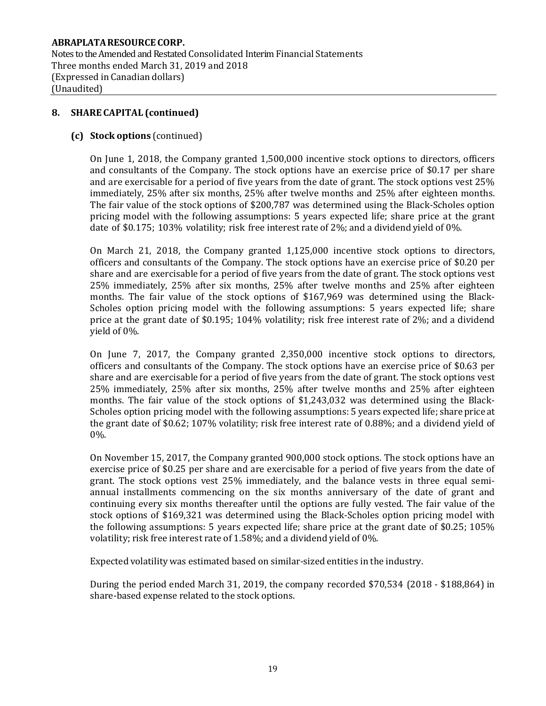Notes to the Amended and Restated Consolidated Interim Financial Statements Three months ended March 31, 2019 and 2018 (Expressed in Canadian dollars) (Unaudited)

## **8. SHARE CAPITAL (continued)**

## **(c) Stock options** (continued)

On June 1, 2018, the Company granted 1,500,000 incentive stock options to directors, officers and consultants of the Company. The stock options have an exercise price of \$0.17 per share and are exercisable for a period of five years from the date of grant. The stock options vest 25% immediately, 25% after six months, 25% after twelve months and 25% after eighteen months. The fair value of the stock options of \$200,787 was determined using the Black-Scholes option pricing model with the following assumptions: 5 years expected life; share price at the grant date of \$0.175; 103% volatility; risk free interest rate of 2%; and a dividend yield of 0%.

On March 21, 2018, the Company granted 1,125,000 incentive stock options to directors, officers and consultants of the Company. The stock options have an exercise price of \$0.20 per share and are exercisable for a period of five years from the date of grant. The stock options vest 25% immediately, 25% after six months, 25% after twelve months and 25% after eighteen months. The fair value of the stock options of \$167,969 was determined using the Black-Scholes option pricing model with the following assumptions: 5 years expected life; share price at the grant date of \$0.195; 104% volatility; risk free interest rate of 2%; and a dividend yield of 0%.

On June 7, 2017, the Company granted 2,350,000 incentive stock options to directors, officers and consultants of the Company. The stock options have an exercise price of \$0.63 per share and are exercisable for a period of five years from the date of grant. The stock options vest 25% immediately, 25% after six months, 25% after twelve months and 25% after eighteen months. The fair value of the stock options of \$1,243,032 was determined using the Black-Scholes option pricing model with the following assumptions: 5 years expected life; share price at the grant date of \$0.62; 107% volatility; risk free interest rate of 0.88%; and a dividend yield of 0%.

On November 15, 2017, the Company granted 900,000 stock options. The stock options have an exercise price of \$0.25 per share and are exercisable for a period of five years from the date of grant. The stock options vest 25% immediately, and the balance vests in three equal semiannual installments commencing on the six months anniversary of the date of grant and continuing every six months thereafter until the options are fully vested. The fair value of the stock options of \$169,321 was determined using the Black-Scholes option pricing model with the following assumptions: 5 years expected life; share price at the grant date of \$0.25; 105% volatility; risk free interest rate of 1.58%; and a dividend yield of 0%.

Expected volatility was estimated based on similar-sized entities in the industry.

During the period ended March 31, 2019, the company recorded \$70,534 (2018 - \$188,864) in share-based expense related to the stock options.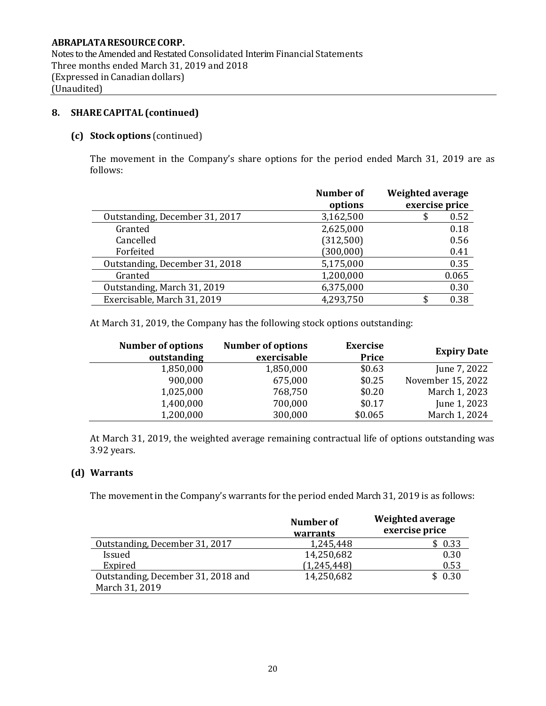Notes to the Amended and Restated Consolidated Interim Financial Statements Three months ended March 31, 2019 and 2018 (Expressed in Canadian dollars) (Unaudited)

# **8. SHARE CAPITAL (continued)**

## **(c) Stock options** (continued)

The movement in the Company's share options for the period ended March 31, 2019 are as follows:

|                                | <b>Number of</b><br>options | <b>Weighted average</b><br>exercise price |
|--------------------------------|-----------------------------|-------------------------------------------|
| Outstanding, December 31, 2017 | 3,162,500                   | 0.52                                      |
| Granted                        | 2,625,000                   | 0.18                                      |
| Cancelled                      | (312,500)                   | 0.56                                      |
| Forfeited                      | (300, 000)                  | 0.41                                      |
| Outstanding, December 31, 2018 | 5,175,000                   | 0.35                                      |
| Granted                        | 1,200,000                   | 0.065                                     |
| Outstanding, March 31, 2019    | 6,375,000                   | 0.30                                      |
| Exercisable, March 31, 2019    | 4,293,750                   | 0.38                                      |

At March 31, 2019, the Company has the following stock options outstanding:

| <b>Number of options</b><br>outstanding | <b>Number of options</b><br>exercisable | <b>Exercise</b><br>Price | <b>Expiry Date</b> |
|-----------------------------------------|-----------------------------------------|--------------------------|--------------------|
| 1,850,000                               | 1,850,000                               | \$0.63                   | June 7, 2022       |
| 900,000                                 | 675,000                                 | \$0.25                   | November 15, 2022  |
| 1,025,000                               | 768,750                                 | \$0.20                   | March 1, 2023      |
| 1,400,000                               | 700,000                                 | \$0.17                   | June 1, 2023       |
| 1,200,000                               | 300,000                                 | \$0.065                  | March 1, 2024      |

At March 31, 2019, the weighted average remaining contractual life of options outstanding was 3.92 years.

## **(d) Warrants**

The movement in the Company's warrants for the period ended March 31, 2019 is as follows:

|                                    | Number of<br>warrants | Weighted average<br>exercise price |
|------------------------------------|-----------------------|------------------------------------|
| Outstanding, December 31, 2017     | 1,245,448             | \$0.33                             |
| <b>Issued</b>                      | 14,250,682            | 0.30                               |
| Expired                            | (1,245,448)           | 0.53                               |
| Outstanding, December 31, 2018 and | 14,250,682            | \$0.30                             |
| March 31, 2019                     |                       |                                    |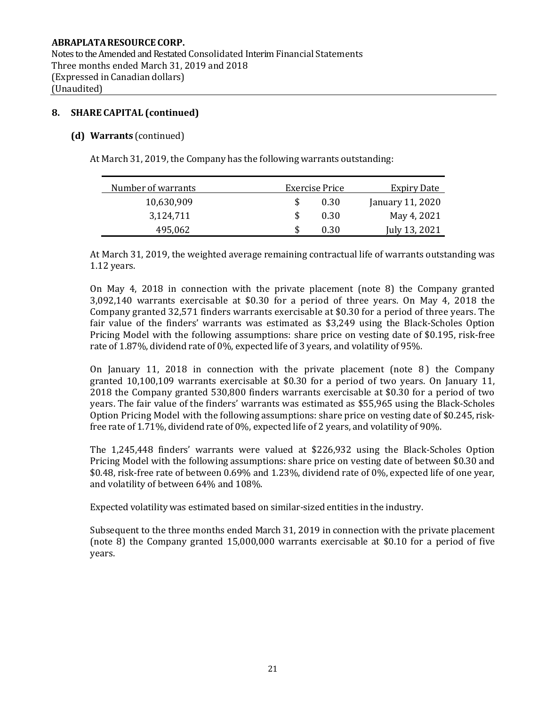Notes to the Amended and Restated Consolidated Interim Financial Statements Three months ended March 31, 2019 and 2018 (Expressed in Canadian dollars) (Unaudited)

## **8. SHARE CAPITAL (continued)**

## **(d) Warrants** (continued)

At March 31, 2019, the Company has the following warrants outstanding:

| Number of warrants | Exercise Price | Expiry Date      |
|--------------------|----------------|------------------|
| 10,630,909         | 0.30           | January 11, 2020 |
| 3,124,711          | 0.30           | May 4, 2021      |
| 495,062            | 0.30           | July 13, 2021    |

At March 31, 2019, the weighted average remaining contractual life of warrants outstanding was 1.12 years.

On May 4, 2018 in connection with the private placement (note 8) the Company granted 3,092,140 warrants exercisable at \$0.30 for a period of three years. On May 4, 2018 the Company granted 32,571 finders warrants exercisable at \$0.30 for a period of three years. The fair value of the finders' warrants was estimated as \$3,249 using the Black-Scholes Option Pricing Model with the following assumptions: share price on vesting date of \$0.195, risk-free rate of 1.87%, dividend rate of 0%, expected life of 3 years, and volatility of 95%.

On January 11, 2018 in connection with the private placement (note  $\theta$ ) the Company granted 10,100,109 warrants exercisable at \$0.30 for a period of two years. On January 11, 2018 the Company granted 530,800 finders warrants exercisable at \$0.30 for a period of two years. The fair value of the finders' warrants was estimated as \$55,965 using the Black-Scholes Option Pricing Model with the following assumptions: share price on vesting date of \$0.245, riskfree rate of 1.71%, dividend rate of 0%, expected life of 2 years, and volatility of 90%.

The 1,245,448 finders' warrants were valued at \$226,932 using the Black-Scholes Option Pricing Model with the following assumptions: share price on vesting date of between \$0.30 and \$0.48, risk-free rate of between 0.69% and 1.23%, dividend rate of 0%, expected life of one year, and volatility of between 64% and 108%.

Expected volatility was estimated based on similar-sized entities in the industry.

Subsequent to the three months ended March 31, 2019 in connection with the private placement (note 8) the Company granted 15,000,000 warrants exercisable at \$0.10 for a period of five years.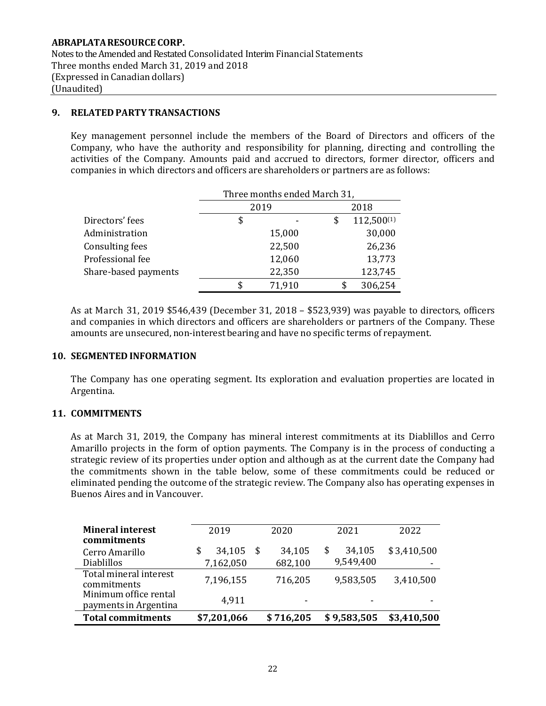## **9. RELATED PARTY TRANSACTIONS**

Key management personnel include the members of the Board of Directors and officers of the Company, who have the authority and responsibility for planning, directing and controlling the activities of the Company. Amounts paid and accrued to directors, former director, officers and companies in which directors and officers are shareholders or partners are as follows:

|                      | Three months ended March 31, |        |      |            |  |
|----------------------|------------------------------|--------|------|------------|--|
|                      | 2019                         |        | 2018 |            |  |
| Directors' fees      | \$                           |        | \$   | 112,500(1) |  |
| Administration       |                              | 15,000 |      | 30,000     |  |
| Consulting fees      |                              | 22,500 |      | 26,236     |  |
| Professional fee     |                              | 12,060 |      | 13,773     |  |
| Share-based payments |                              | 22,350 |      | 123,745    |  |
|                      | \$                           | 71,910 |      | 306,254    |  |

As at March 31, 2019 \$546,439 (December 31, 2018 – \$523,939) was payable to directors, officers and companies in which directors and officers are shareholders or partners of the Company. These amounts are unsecured, non-interest bearing and have no specific terms of repayment.

## **10. SEGMENTED INFORMATION**

The Company has one operating segment. Its exploration and evaluation properties are located in Argentina.

## **11. COMMITMENTS**

As at March 31, 2019, the Company has mineral interest commitments at its Diablillos and Cerro Amarillo projects in the form of option payments. The Company is in the process of conducting a strategic review of its properties under option and although as at the current date the Company had the commitments shown in the table below, some of these commitments could be reduced or eliminated pending the outcome of the strategic review. The Company also has operating expenses in Buenos Aires and in Vancouver.

| <b>Mineral interest</b><br>commitments         | 2019                | 2020                     | 2021                      | 2022             |
|------------------------------------------------|---------------------|--------------------------|---------------------------|------------------|
| Cerro Amarillo<br><b>Diablillos</b>            | 34,105<br>7,162,050 | 34,105<br>682,100        | 34,105<br>\$<br>9,549,400 | \$3,410,500<br>- |
| Total mineral interest<br>commitments          | 7,196,155           | 716,205                  | 9,583,505                 | 3,410,500        |
| Minimum office rental<br>payments in Argentina | 4,911               | $\overline{\phantom{0}}$ | $\overline{\phantom{0}}$  |                  |
| <b>Total commitments</b>                       | \$7,201,066         | \$716,205                | \$9,583,505               | \$3,410,500      |